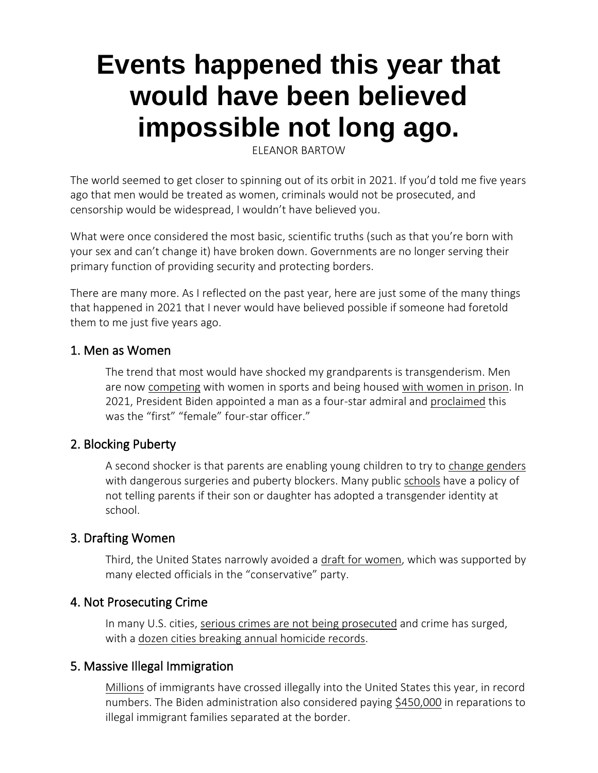# **Events happened this year that would have been believed impossible not long ago.**

ELEANOR BARTOW

The world seemed to get closer to spinning out of its orbit in 2021. If you'd told me five years ago that men would be treated as women, criminals would not be prosecuted, and censorship would be widespread, I wouldn't have believed you.

What were once considered the most basic, scientific truths (such as that you're born with your sex and can't change it) have broken down. Governments are no longer serving their primary function of providing security and protecting borders.

There are many more. As I reflected on the past year, here are just some of the many things that happened in 2021 that I never would have believed possible if someone had foretold them to me just five years ago.

#### 1. Men as Women

The trend that most would have shocked my grandparents is transgenderism. Men are now [competing](https://thefederalist.com/2021/11/24/new-olympic-committee-rules-essentially-end-womens-sports/) with women in sports and being housed [with women in prison.](https://www.latimes.com/california/story/2021-11-24/lawsuit-takes-aim-at-law-that-allows-transgender-inmates-to-choose-housing-location-based-on-gender-identity) In 2021, President Biden appointed a man as a four-star admiral and [proclaimed](https://thefederalist.com/2021/10/20/if-you-cant-tell-a-man-from-a-woman-youre-not-a-health-official-youre-a-health-threat/) this was the "first" "female" four-star officer."

## 2. Blocking Puberty

A second shocker is that parents are enabling young children to try to [change genders](https://thefederalist.com/2021/11/11/therapists-have-betrayed-the-parents-of-gender-confused-kids-and-therell-be-hell-to-pay/) with dangerous surgeries and puberty blockers. Many public [schools](https://thefederalist.com/2021/10/18/mcauliffe-agrees-public-schools-should-not-tell-parents-if-their-child-is-gender-fluid/) have a policy of not telling parents if their son or daughter has adopted a transgender identity at school.

## 3. Drafting Women

Third, the United States narrowly avoided a [draft for women,](https://thefederalist.com/2021/12/09/the-few-republicans-who-stopped-congress-from-drafting-the-nations-wives-sisters-and-daughters-deserve-our-praise/) which was supported by many elected officials in the "conservative" party.

## 4. Not Prosecuting Crime

In many U.S. cities, [serious crimes are not being prosecuted](https://thefederalist.com/2021/10/18/the-left-wanted-to-destroy-the-police-and-so-far-theyve-succeeded/) and crime has surged, with a [dozen cities breaking annual homicide records.](https://abcnews.go.com/US/12-major-us-cities-top-annual-homicide-records/story?id=81466453)

## 5. Massive Illegal Immigration

[Millions](https://thefederalist.com/2021/12/16/bidens-border-crisis-brings-record-number-of-november-arrests/) of immigrants have crossed illegally into the United States this year, in record numbers. The Biden administration also considered paying [\\$450,000](https://www.wsj.com/articles/justice-department-calls-off-settlement-talks-with-separated-families-lawyers-say-11639678783) in reparations to illegal immigrant families separated at the border.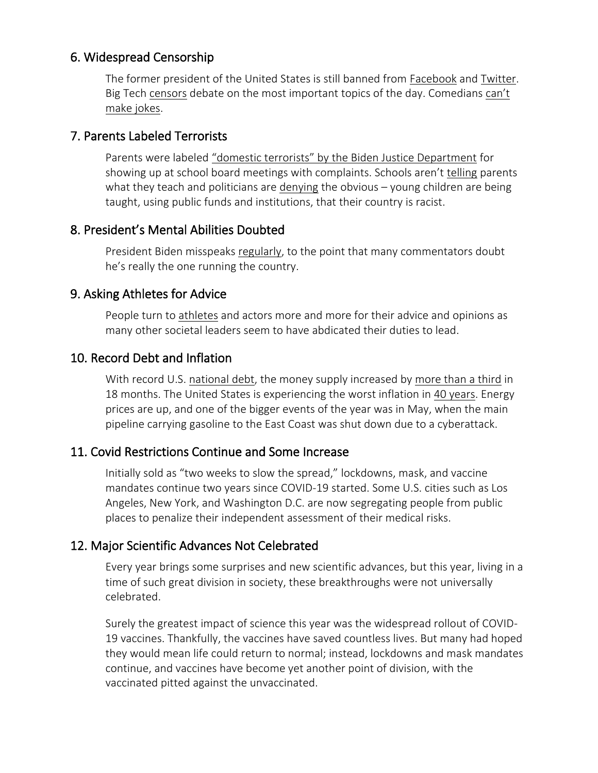## 6. Widespread Censorship

The former president of the United States is still banned from [Facebook](https://about.fb.com/news/2021/06/facebook-response-to-oversight-board-recommendations-trump/) and [Twitter.](https://blog.twitter.com/en_us/topics/company/2020/suspension) Big Tech [censors](https://www.newsbusters.org/blogs/free-speech/brian-bradley/2021/12/16/12-worst-cases-big-tech-censorship-2021) debate on the most important topics of the day. Comedians [can't](https://www.wsj.com/articles/the-woke-joke-free-speech-comedy-polarization-censorship-dave-chappelle-netflix-chesterton-11636473581)  [make jokes.](https://www.wsj.com/articles/the-woke-joke-free-speech-comedy-polarization-censorship-dave-chappelle-netflix-chesterton-11636473581)

## 7. Parents Labeled Terrorists

Parents were labeled ["domestic terrorists" by the Biden Justice Department](https://thefederalist.com/2021/10/06/across-america-parents-refuse-to-be-intimidated-by-bidens-attorney-general-labeling-them-domestic-terrorists/) for showing up at school board meetings with complaints. Schools aren't [telling](https://nypost.com/2021/08/05/teachers-union-sues-mom-over-requests-for-crt-curriculum-info/) parents what they teach and politicians are [denying](https://thefederalist.com/2021/11/10/leftists-deny-critical-race-theory-exists-because-they-dont-want-parents-to-have-a-target/) the obvious – young children are being taught, using public funds and institutions, that their country is racist.

# 8. President's Mental Abilities Doubted

President Biden misspeaks [regularly,](https://thefederalist.com/2021/12/16/12-times-joe-biden-completely-made-up-stories-lied-or-said-something-crazy/) to the point that many commentators doubt he's really the one running the country.

# 9. Asking Athletes for Advice

People turn to [athletes](https://www.bloomberg.com/opinion/articles/2021-10-02/lebron-james-vaccination-status-he-has-been-far-too-reticent) and actors more and more for their advice and opinions as many other societal leaders seem to have abdicated their duties to lead.

# 10. Record Debt and Inflation

With record U.S. [national debt,](https://money.cnn.com/2011/09/05/news/economy/national_debt_faq/index.htm) the money supply increased by [more than a third](https://www.wsj.com/articles/monetary-bathtub-overflowing-inflation-drain-transitory-11634847429) in 18 months. The United States is experiencing the worst inflation in [40 years.](https://www.npr.org/2021/12/11/1063337585/the-us-is-seeing-the-worst-monthly-inflation-numbers-in-40-years) Energy prices are up, and one of the bigger events of the year was in May, when the main pipeline carrying gasoline to the East Coast was shut down due to a cyberattack.

# 11. Covid Restrictions Continue and Some Increase

Initially sold as "two weeks to slow the spread," lockdowns, mask, and vaccine mandates continue two years since COVID-19 started. Some U.S. cities such as Los Angeles, New York, and Washington D.C. are now segregating people from public places to penalize their independent assessment of their medical risks.

# 12. Major Scientific Advances Not Celebrated

Every year brings some surprises and new scientific advances, but this year, living in a time of such great division in society, these breakthroughs were not universally celebrated.

Surely the greatest impact of science this year was the widespread rollout of COVID-19 vaccines. Thankfully, the vaccines have saved countless lives. But many had hoped they would mean life could return to normal; instead, lockdowns and mask mandates continue, and vaccines have become yet another point of division, with the vaccinated pitted against the unvaccinated.